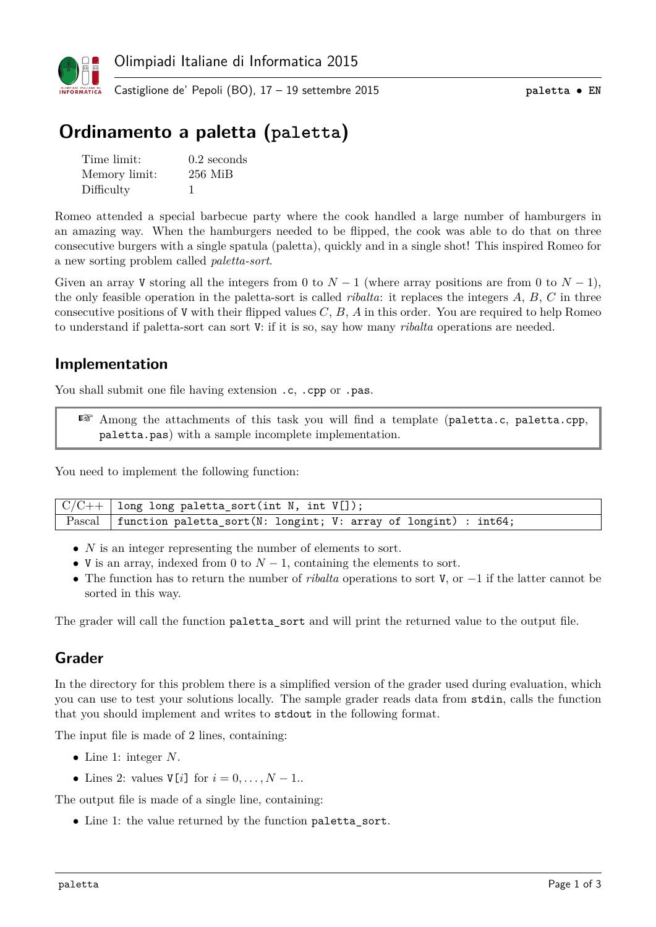

# **Ordinamento a paletta (paletta)**

| Time limit:   | $0.2$ seconds |
|---------------|---------------|
| Memory limit: | $256$ MiB     |
| Difficulty    |               |

Romeo attended a special barbecue party where the cook handled a large number of hamburgers in an amazing way. When the hamburgers needed to be flipped, the cook was able to do that on three consecutive burgers with a single spatula (paletta), quickly and in a single shot! This inspired Romeo for a new sorting problem called *paletta-sort*.

Given an array V storing all the integers from 0 to  $N-1$  (where array positions are from 0 to  $N-1$ ), the only feasible operation in the paletta-sort is called *ribalta*: it replaces the integers *A*, *B*, *C* in three consecutive positions of V with their flipped values *C*, *B*, *A* in this order. You are required to help Romeo to understand if paletta-sort can sort V: if it is so, say how many *ribalta* operations are needed.

#### **Implementation**

You shall submit one file having extension .c, .cpp or .pas.

☞ Among the attachments of this task you will find a template (paletta.c, paletta.cpp, paletta.pas) with a sample incomplete implementation.

You need to implement the following function:

| $\sqrt{\frac{C}{C++}}$ long long paletta_sort(int N, int V[]);             |
|----------------------------------------------------------------------------|
| Pascal   function paletta_sort(N: longint; V: array of longint) : $int64;$ |

- *N* is an integer representing the number of elements to sort.
- V is an array, indexed from 0 to  $N-1$ , containing the elements to sort.
- The function has to return the number of *ribalta* operations to sort V, or −1 if the latter cannot be sorted in this way.

The grader will call the function paletta sort and will print the returned value to the output file.

### **Grader**

In the directory for this problem there is a simplified version of the grader used during evaluation, which you can use to test your solutions locally. The sample grader reads data from stdin, calls the function that you should implement and writes to stdout in the following format.

The input file is made of 2 lines, containing:

- Line 1: integer *N*.
- Lines 2: values  $V[i]$  for  $i = 0, \ldots, N-1$ .

The output file is made of a single line, containing:

• Line 1: the value returned by the function paletta sort.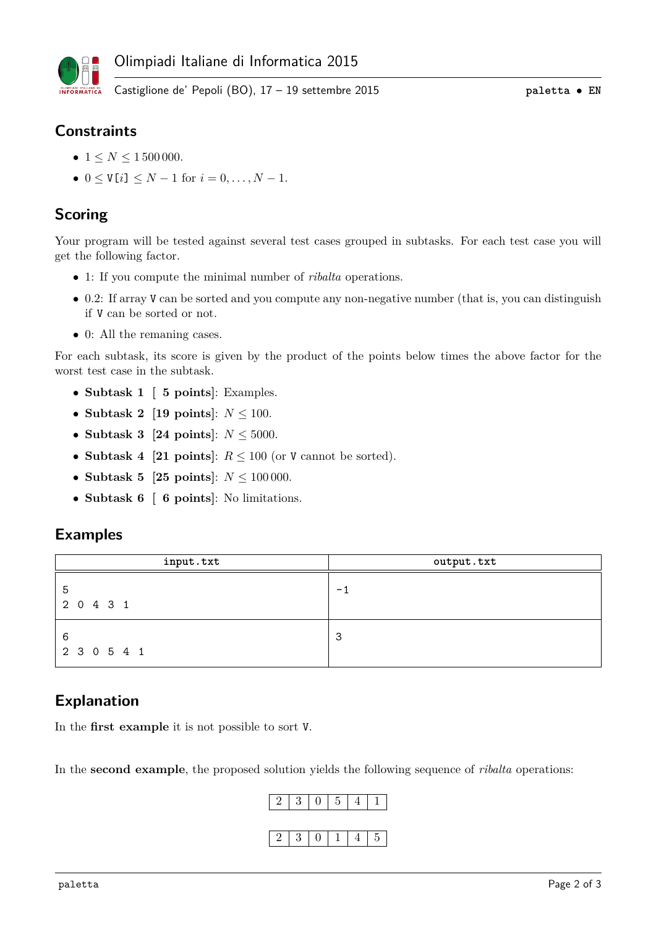

### **Constraints**

- $1 \le N \le 1500000$ .
- $0 \le V[i] \le N-1$  for  $i = 0, \ldots, N-1$ .

## **Scoring**

Your program will be tested against several test cases grouped in subtasks. For each test case you will get the following factor.

- 1: If you compute the minimal number of *ribalta* operations.
- 0.2: If array V can be sorted and you compute any non-negative number (that is, you can distinguish if V can be sorted or not.
- 0: All the remaning cases.

For each subtask, its score is given by the product of the points below times the above factor for the worst test case in the subtask.

- **Subtask 1 [ 5 points]**: Examples.
- **Subtask 2** [19 points]:  $N \le 100$ .
- **Subtask 3 [24 points]**: *N* ≤ 5000.
- **Subtask 4** [21 points]:  $R \le 100$  (or V cannot be sorted).
- **Subtask 5 [25 points]:**  $N \le 100000$ .
- **Subtask 6 [ 6 points]**: No limitations.

#### **Examples**

| input.txt        | output.txt |
|------------------|------------|
| 5<br>2 0 4 3 1   | $-1$       |
| 6<br>2 3 0 5 4 1 | 3          |

### **Explanation**

In the **first example** it is not possible to sort V.

In the **second example**, the proposed solution yields the following sequence of *ribalta* operations: